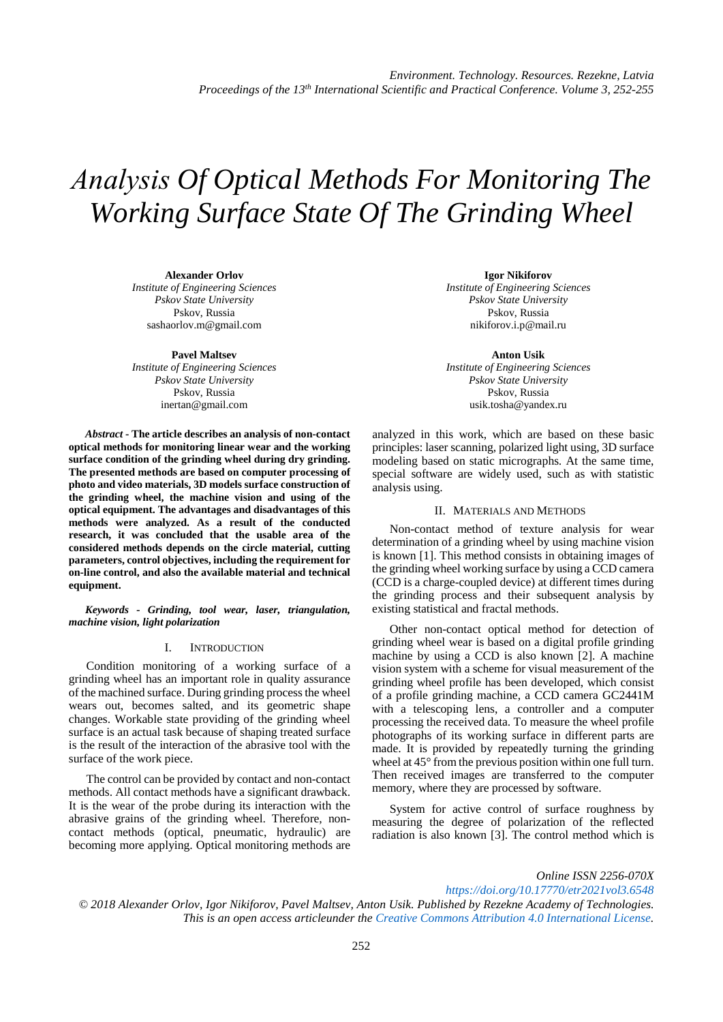# *Аnalysis Of Optical Methods For Monitoring The Working Surface State Of The Grinding Wheel*

**Alexander Orlov** *Institute of Engineering Sciences Pskov State University* Pskov, Russia [sashaorlov.m@gmail.com](mailto:sashaorlov.m@gmail.com)

**Pavel Maltsev** *Institute of Engineering Sciences Pskov State University* Pskov, Russia [inertan@gmail.com](mailto:inertan@gmail.com)

*Abstract* **- The article describes an analysis of non-contact optical methods for monitoring linear wear and the working surface condition of the grinding wheel during dry grinding. The presented methods are based on computer processing of photo and video materials, 3D models surface construction of the grinding wheel, the machine vision and using of the optical equipment. The advantages and disadvantages of this methods were analyzed. As a result of the conducted research, it was concluded that the usable area of the considered methods depends on the circle material, cutting parameters, control objectives, including the requirement for on-line control, and also the available material and technical equipment.**

*Keywords - Grinding, tool wear, laser, triangulation, machine vision, light polarization*

# I. INTRODUCTION

Condition monitoring of a working surface of a grinding wheel has an important role in quality assurance of the machined surface. During grinding process the wheel wears out, becomes salted, and its geometric shape changes. Workable state providing of the grinding wheel surface is an actual task because of shaping treated surface is the result of the interaction of the abrasive tool with the surface of the work piece.

The control can be provided by contact and non-contact methods. All contact methods have a significant drawback. It is the wear of the probe during its interaction with the abrasive grains of the grinding wheel. Therefore, noncontact methods (optical, pneumatic, hydraulic) are becoming more applying. Optical monitoring methods are

**Igor Nikiforov** *Institute of Engineering Sciences Pskov State University* Pskov, Russia [nikiforov.i.p@mail.ru](mailto:nikiforov.i.p@mail.ru)

**Anton Usik** *Institute of Engineering Sciences Pskov State University* Pskov, Russia [usik.tosha@yandex.ru](mailto:usik.tosha@yandex.ru)

analyzed in this work, which are based on these basic principles: laser scanning, polarized light using, 3D surface modeling based on static micrographs. At the same time, special software are widely used, such as with statistic analysis using.

### II. MATERIALS AND METHODS

Non-contact method of texture analysis for wear determination of a grinding wheel by using machine vision is known [1]. This method consists in obtaining images of the grinding wheel working surface by using a CCD camera (CCD is a charge-coupled device) at different times during the grinding process and their subsequent analysis by existing statistical and fractal methods.

Other non-contact optical method for detection of grinding wheel wear is based on a digital profile grinding machine by using a CCD is also known [2]. A machine vision system with a scheme for visual measurement of the grinding wheel profile has been developed, which consist of a profile grinding machine, a CCD camera GC2441M with a telescoping lens, a controller and a computer processing the received data. To measure the wheel profile photographs of its working surface in different parts are made. It is provided by repeatedly turning the grinding wheel at 45° from the previous position within one full turn. Then received images are transferred to the computer memory, where they are processed by software.

System for active control of surface roughness by measuring the degree of polarization of the reflected radiation is also known [3]. The control method which is

*Online ISSN 2256-070X <https://doi.org/10.17770/etr2021vol3.6548> © 2018 Alexander Orlov, Igor Nikiforov, Pavel Maltsev, Anton Usik. Published by Rezekne Academy of Technologies. This is an open access articleunder the [Creative Commons Attribution 4.0 International License.](https://creativecommons.org/licenses/by/4.0/)*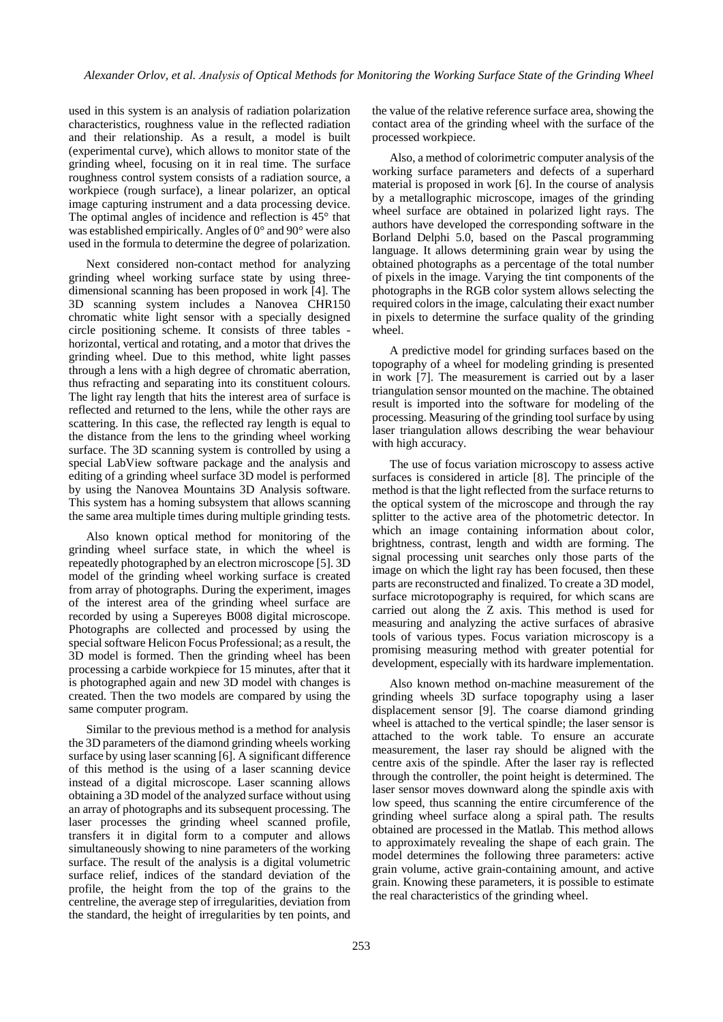used in this system is an analysis of radiation polarization characteristics, roughness value in the reflected radiation and their relationship. As a result, a model is built (experimental curve), which allows to monitor state of the grinding wheel, focusing on it in real time. The surface roughness control system consists of a radiation source, a workpiece (rough surface), a linear polarizer, an optical image capturing instrument and a data processing device. The optimal angles of incidence and reflection is 45° that was established empirically. Angles of 0° and 90° were also used in the formula to determine the degree of polarization.

Next considered non-contact method for analyzing grinding wheel working surface state by using threedimensional scanning has been proposed in work [4]. The 3D scanning system includes a Nanovea CHR150 chromatic white light sensor with a specially designed circle positioning scheme. It consists of three tables horizontal, vertical and rotating, and a motor that drives the grinding wheel. Due to this method, white light passes through a lens with a high degree of chromatic aberration, thus refracting and separating into its constituent colours. The light ray length that hits the interest area of surface is reflected and returned to the lens, while the other rays are scattering. In this case, the reflected ray length is equal to the distance from the lens to the grinding wheel working surface. The 3D scanning system is controlled by using a special LabView software package and the analysis and editing of a grinding wheel surface 3D model is performed by using the Nanovea Mountains 3D Analysis software. This system has a homing subsystem that allows scanning the same area multiple times during multiple grinding tests.

Also known optical method for monitoring of the grinding wheel surface state, in which the wheel is repeatedly photographed by an electron microscope [5]. 3D model of the grinding wheel working surface is created from array of photographs. During the experiment, images of the interest area of the grinding wheel surface are recorded by using a Supereyes B008 digital microscope. Photographs are collected and processed by using the special software Helicon Focus Professional; as a result, the 3D model is formed. Then the grinding wheel has been processing a carbide workpiece for 15 minutes, after that it is photographed again and new 3D model with changes is created. Then the two models are compared by using the same computer program.

Similar to the previous method is a method for analysis the 3D parameters of the diamond grinding wheels working surface by using laser scanning [6]. A significant difference of this method is the using of a laser scanning device instead of a digital microscope. Laser scanning allows obtaining a 3D model of the analyzed surface without using an array of photographs and its subsequent processing. The laser processes the grinding wheel scanned profile, transfers it in digital form to a computer and allows simultaneously showing to nine parameters of the working surface. The result of the analysis is a digital volumetric surface relief, indices of the standard deviation of the profile, the height from the top of the grains to the centreline, the average step of irregularities, deviation from the standard, the height of irregularities by ten points, and the value of the relative reference surface area, showing the contact area of the grinding wheel with the surface of the processed workpiece.

Also, a method of colorimetric computer analysis of the working surface parameters and defects of a superhard material is proposed in work [6]. In the course of analysis by a metallographic microscope, images of the grinding wheel surface are obtained in polarized light rays. The authors have developed the corresponding software in the Borland Delphi 5.0, based on the Pascal programming language. It allows determining grain wear by using the obtained photographs as a percentage of the total number of pixels in the image. Varying the tint components of the photographs in the RGB color system allows selecting the required colors in the image, calculating their exact number in pixels to determine the surface quality of the grinding wheel.

A predictive model for grinding surfaces based on the topography of a wheel for modeling grinding is presented in work [7]. The measurement is carried out by a laser triangulation sensor mounted on the machine. The obtained result is imported into the software for modeling of the processing. Measuring of the grinding tool surface by using laser triangulation allows describing the wear behaviour with high accuracy.

The use of focus variation microscopy to assess active surfaces is considered in article [8]. The principle of the method is that the light reflected from the surface returns to the optical system of the microscope and through the ray splitter to the active area of the photometric detector. In which an image containing information about color, brightness, contrast, length and width are forming. The signal processing unit searches only those parts of the image on which the light ray has been focused, then these parts are reconstructed and finalized. To create a 3D model, surface microtopography is required, for which scans are carried out along the Z axis. This method is used for measuring and analyzing the active surfaces of abrasive tools of various types. Focus variation microscopy is a promising measuring method with greater potential for development, especially with its hardware implementation.

Also known method on-machine measurement of the grinding wheels 3D surface topography using a laser displacement sensor [9]. The coarse diamond grinding wheel is attached to the vertical spindle; the laser sensor is attached to the work table. To ensure an accurate measurement, the laser ray should be aligned with the centre axis of the spindle. After the laser ray is reflected through the controller, the point height is determined. The laser sensor moves downward along the spindle axis with low speed, thus scanning the entire circumference of the grinding wheel surface along a spiral path. The results obtained are processed in the Matlab. This method allows to approximately revealing the shape of each grain. The model determines the following three parameters: active grain volume, active grain-containing amount, and active grain. Knowing these parameters, it is possible to estimate the real characteristics of the grinding wheel.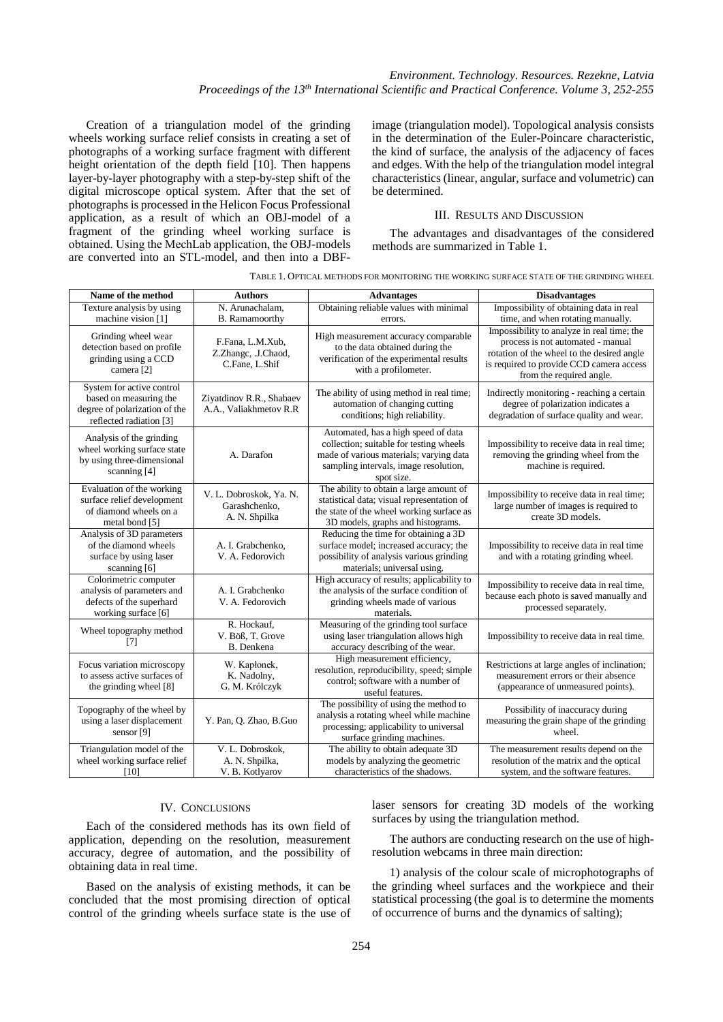Creation of a triangulation model of the grinding wheels working surface relief consists in creating a set of photographs of a working surface fragment with different height orientation of the depth field [10]. Then happens layer-by-layer photography with a step-by-step shift of the digital microscope optical system. After that the set of photographs is processed in the Helicon Focus Professional application, as a result of which an OBJ-model of a fragment of the grinding wheel working surface is obtained. Using the МechLab application, the OBJ-models are converted into an STL-model, and then into a DBF-

image (triangulation model). Topological analysis consists in the determination of the Euler-Poincare characteristic, the kind of surface, the analysis of the adjacency of faces and edges. With the help of the triangulation model integral characteristics (linear, angular, surface and volumetric) can be determined.

## III. RESULTS AND DISCUSSION

The advantages and disadvantages of the considered methods are summarized in Table 1.

| Name of the method                                                                                              | <b>Authors</b>                                            | <b>Advantages</b>                                                                                                                                                                | <b>Disadvantages</b>                                                                                                                                                                                  |
|-----------------------------------------------------------------------------------------------------------------|-----------------------------------------------------------|----------------------------------------------------------------------------------------------------------------------------------------------------------------------------------|-------------------------------------------------------------------------------------------------------------------------------------------------------------------------------------------------------|
| Texture analysis by using<br>machine vision [1]                                                                 | N. Arunachalam.<br><b>B.</b> Ramamoorthy                  | Obtaining reliable values with minimal<br>errors.                                                                                                                                | Impossibility of obtaining data in real<br>time, and when rotating manually.                                                                                                                          |
| Grinding wheel wear<br>detection based on profile<br>grinding using a CCD<br>camera <sup>[2]</sup>              | F.Fana, L.M.Xub,<br>Z.Zhangc, .J.Chaod,<br>C.Fane, L.Shif | High measurement accuracy comparable<br>to the data obtained during the<br>verification of the experimental results<br>with a profilometer.                                      | Impossibility to analyze in real time; the<br>process is not automated - manual<br>rotation of the wheel to the desired angle<br>is required to provide CCD camera access<br>from the required angle. |
| System for active control<br>based on measuring the<br>degree of polarization of the<br>reflected radiation [3] | Ziyatdinov R.R., Shabaev<br>A.A., Valiakhmetov R.R.       | The ability of using method in real time;<br>automation of changing cutting<br>conditions; high reliability.                                                                     | Indirectly monitoring - reaching a certain<br>degree of polarization indicates a<br>degradation of surface quality and wear.                                                                          |
| Analysis of the grinding<br>wheel working surface state<br>by using three-dimensional<br>scanning [4]           | A. Darafon                                                | Automated, has a high speed of data<br>collection; suitable for testing wheels<br>made of various materials; varying data<br>sampling intervals, image resolution,<br>spot size. | Impossibility to receive data in real time;<br>removing the grinding wheel from the<br>machine is required.                                                                                           |
| Evaluation of the working<br>surface relief development<br>of diamond wheels on a<br>metal bond [5]             | V. L. Dobroskok, Ya. N.<br>Garashchenko,<br>A. N. Shpilka | The ability to obtain a large amount of<br>statistical data; visual representation of<br>the state of the wheel working surface as<br>3D models, graphs and histograms.          | Impossibility to receive data in real time;<br>large number of images is required to<br>create 3D models.                                                                                             |
| Analysis of 3D parameters<br>of the diamond wheels<br>surface by using laser<br>scanning [6]                    | A. I. Grabchenko,<br>V. A. Fedorovich                     | Reducing the time for obtaining a 3D<br>surface model; increased accuracy; the<br>possibility of analysis various grinding<br>materials; universal using.                        | Impossibility to receive data in real time<br>and with a rotating grinding wheel.                                                                                                                     |
| Colorimetric computer<br>analysis of parameters and<br>defects of the superhard<br>working surface [6]          | A. I. Grabchenko<br>V. A. Fedorovich                      | High accuracy of results; applicability to<br>the analysis of the surface condition of<br>grinding wheels made of various<br>materials.                                          | Impossibility to receive data in real time,<br>because each photo is saved manually and<br>processed separately.                                                                                      |
| Wheel topography method<br>[7]                                                                                  | R. Hockauf.<br>V. Böß, T. Grove<br>B. Denkena             | Measuring of the grinding tool surface<br>using laser triangulation allows high<br>accuracy describing of the wear.                                                              | Impossibility to receive data in real time.                                                                                                                                                           |
| Focus variation microscopy<br>to assess active surfaces of<br>the grinding wheel [8]                            | W. Kapłonek,<br>K. Nadolny,<br>G. M. Królczyk             | High measurement efficiency,<br>resolution, reproducibility, speed; simple<br>control; software with a number of<br>useful features.                                             | Restrictions at large angles of inclination;<br>measurement errors or their absence<br>(appearance of unmeasured points).                                                                             |
| Topography of the wheel by<br>using a laser displacement<br>sensor [9]                                          | Y. Pan, Q. Zhao, B.Guo                                    | The possibility of using the method to<br>analysis a rotating wheel while machine<br>processing; applicability to universal<br>surface grinding machines.                        | Possibility of inaccuracy during<br>measuring the grain shape of the grinding<br>wheel.                                                                                                               |
| Triangulation model of the<br>wheel working surface relief<br>[10]                                              | V. L. Dobroskok.<br>A. N. Shpilka,<br>V. B. Kotlyarov     | The ability to obtain adequate 3D<br>models by analyzing the geometric<br>characteristics of the shadows.                                                                        | The measurement results depend on the<br>resolution of the matrix and the optical<br>system, and the software features.                                                                               |

### TABLE 1. OPTICAL METHODS FOR MONITORING THE WORKING SURFACE STATE OF THE GRINDING WHEEL

# IV. CONCLUSIONS

Each of the considered methods has its own field of application, depending on the resolution, measurement accuracy, degree of automation, and the possibility of obtaining data in real time.

Based on the analysis of existing methods, it can be concluded that the most promising direction of optical control of the grinding wheels surface state is the use of laser sensors for creating 3D models of the working surfaces by using the triangulation method.

The authors are conducting research on the use of highresolution webcams in three main direction:

1) analysis of the colour scale of microphotographs of the grinding wheel surfaces and the workpiece and their statistical processing (the goal is to determine the moments of occurrence of burns and the dynamics of salting);